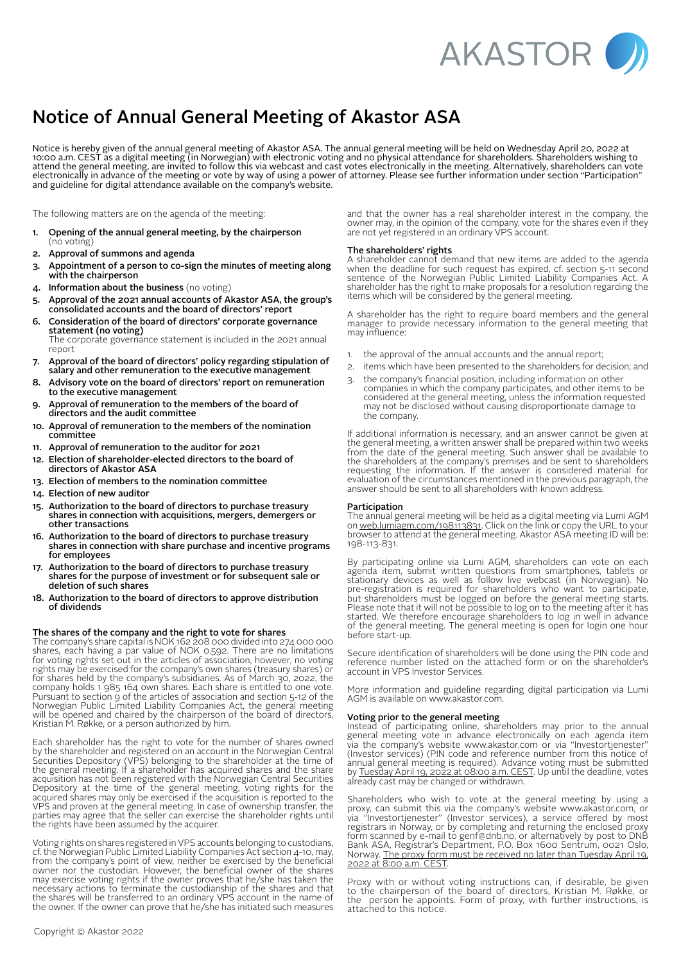

# Notice of Annual General Meeting of Akastor ASA

Notice is hereby given of the annual general meeting of Akastor ASA. The annual general meeting will be held on Wednesday April 20, 2022 at 10:00 a.m. CEST as a digital meeting (in Norwegian) with electronic voting and no physical attendance for shareholders. Shareholders wishing to attend the general meeting, are invited to follow this via webcast and cast votes electronically in the meeting. Alternatively, shareholders can vote electronically in advance of the meeting or vote by way of using a power of attorney. Please see further information under section "Participation" and guideline for digital attendance available on the company's website.

The following matters are on the agenda of the meeting:

- 1. Opening of the annual general meeting, by the chairperson (no voting)
- 2. Approval of summons and agenda
- 3. Appointment of a person to co-sign the minutes of meeting along with the chairperson
- 4. Information about the business (no voting)
- 5. Approval of the 2021 annual accounts of Akastor ASA, the group's consolidated accounts and the board of directors' report
- 6. Consideration of the board of directors' corporate governance statement (no voting) The corporate governance statement is included in the 2021 annual report
- 7. Approval of the board of directors' policy regarding stipulation of salary and other remuneration to the executive management
- 8. Advisory vote on the board of directors' report on remuneration to the executive management
- 9. Approval of remuneration to the members of the board of directors and the audit committee
- 10. Approval of remuneration to the members of the nomination committee
- 11. Approval of remuneration to the auditor for 2021
- 12. Election of shareholder-elected directors to the board of directors of Akastor ASA
- 13. Election of members to the nomination committee
- 14. Election of new auditor
- 15. Authorization to the board of directors to purchase treasury shares in connection with acquisitions, mergers, demergers or other transactions
- 16. Authorization to the board of directors to purchase treasury shares in connection with share purchase and incentive programs for employees
- 17. Authorization to the board of directors to purchase treasury shares for the purpose of investment or for subsequent sale or deletion of such shares
- 18. Authorization to the board of directors to approve distribution of dividends

## The shares of the company and the right to vote for shares

The company's share capital is NOK 162 208 000 divided into 274 000 000 shares, each having a par value of NOK 0.592. There are no limitations for voting rights set out in the articles of association, however, no voting rights may be exercised for the company's own shares (treasury shares) or for shares held by the company's subsidiaries. As of March 30, 2022, the company holds 1 985 164 own shares. Each share is entitled to one vote. Pursuant to section 9 of the articles of association and section 5-12 of the Norwegian Public Limited Liability Companies Act, the general meeting will be opened and chaired by the chairperson of the board of directors, Kristian M. Røkke, or a person authorized by him.

Each shareholder has the right to vote for the number of shares owned by the shareholder and registered on an account in the Norwegian Central Securities Depository (VPS) belonging to the shareholder at the time of the general meeting. If a shareholder has acquired shares and the share acquisition has not been registered with the Norwegian Central Securities Depository at the time of the general meeting, voting rights for the acquired shares may only be exercised if the acquisition is reported to the VPS and proven at the general meeting. In case of ownership transfer, the parties may agree that the seller can exercise the shareholder rights until the rights have been assumed by the acquirer.

Voting rights on shares registered in VPS accounts belonging to custodians, cf. the Norwegian Public Limited Liability Companies Act section 4-10, may, from the company's point of view, neither be exercised by the beneficial owner nor the custodian. However, the beneficial owner of the shares may exercise voting rights if the owner proves that he/she has taken the necessary actions to terminate the custodianship of the shares and that the shares will be transferred to an ordinary VPS account in the name of the owner. If the owner can prove that he/she has initiated such measures and that the owner has a real shareholder interest in the company, the owner may, in the opinion of the company, vote for the shares even if they are not yet registered in an ordinary VPS account.

#### The shareholders' rights

A shareholder cannot demand that new items are added to the agenda when the deadline for such request has expired, cf. section 5-11 second sentence of the Norwegian Public Limited Liability Companies Act. A shareholder has the right to make proposals for a resolution regarding the items which will be considered by the general meeting.

A shareholder has the right to require board members and the general manager to provide necessary information to the general meeting that may influence:

- 1. the approval of the annual accounts and the annual report;
- 2. items which have been presented to the shareholders for decision; and
- 3. the company's financial position, including information on other companies in which the company participates, and other items to be considered at the general meeting, unless the information requested may not be disclosed without causing disproportionate damage to the company.

If additional information is necessary, and an answer cannot be given at the general meeting, a written answer shall be prepared within two weeks from the date of the general meeting. Such answer shall be available to the shareholders at the company's premises and be sent to shareholders requesting the information. If the answer is considered material for evaluation of the circumstances mentioned in the previous paragraph, the answer should be sent to all shareholders with known address.

## Participation

The annual general meeting will be held as a digital meeting via Lumi AGM on [web.lumiagm.com/198113831.](http://web.lumiagm.com/198113831) Click on the link or copy the URL to your browser to attend at the general meeting. Akastor ASA meeting ID will be: 198-113-831.

By participating online via Lumi AGM, shareholders can vote on each agenda item, submit written questions from smartphones, tablets or stationary devices as well as follow live webcast (in Norwegian). No pre-registration is required for shareholders who want to participate, but shareholders must be logged on before the general meeting starts. Please note that it will not be possible to log on to the meeting after it has started. We therefore encourage shareholders to log in well in advance of the general meeting. The general meeting is open for login one hour before start-up.

Secure identification of shareholders will be done using the PIN code and reference number listed on the attached form or on the shareholder's account in VPS Investor Services.

More information and guideline regarding digital participation via Lumi AGM is available on [www.akastor.com](http://www.akastor.com).

## Voting prior to the general meeting

Instead of participating online, shareholders may prior to the annual general meeting vote in advance electronically on each agenda item via the company's website www.akastor.com or via "Investortjenester" (Investor services) (PIN code and reference number from this notice of annual general meeting is required). Advance voting must be submitted by Tuesday April 19, 2022 at 08:00 a.m. CEST. Up until the deadline, votes already cast may be changed or withdrawn.

Shareholders who wish to vote at the general meeting by using a proxy, can submit this via the company's website www.akastor.com, or via "Investortjenester" (Investor services), a service offered by most registrars in Norway, or by completing and returning the enclosed proxy form scanned by e-mail to genf@dnb.no, or alternatively by post to DNB Bank ASA, Registrar's Department, P.O. Box 1600 Sentrum, 0021 Oslo, Norway. The proxy form must be received no later than Tuesday April 19, 2022 at 8:00 a.m. CEST.

Proxy with or without voting instructions can, if desirable, be given to the chairperson of the board of directors, Kristian M. Røkke, or the person he appoints. Form of proxy, with further instructions, is attached to this notice.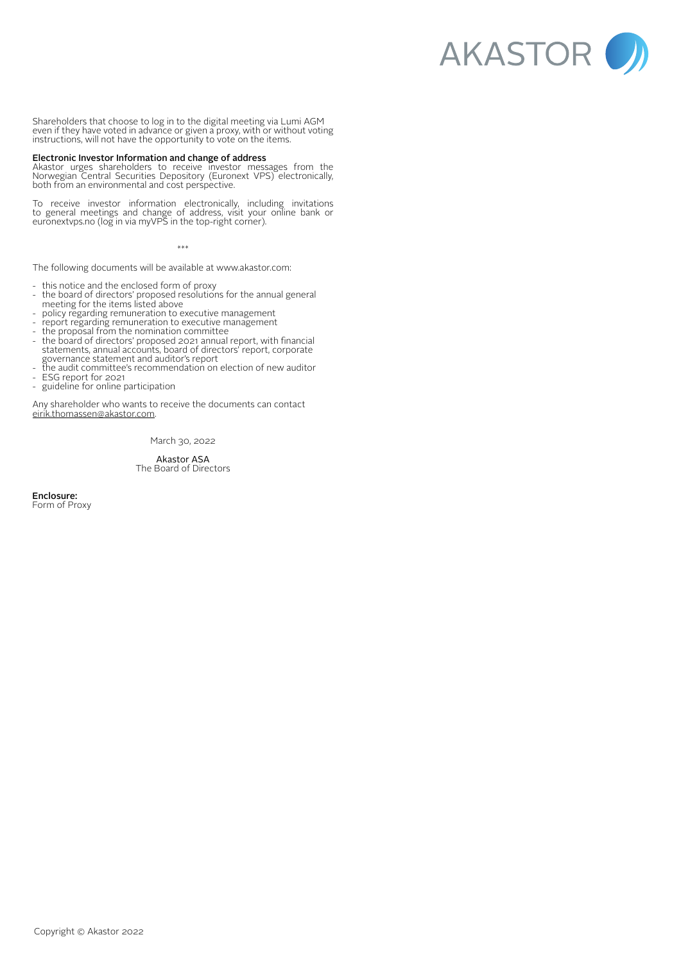AKASTOR V

Shareholders that choose to log in to the digital meeting via Lumi AGM even if they have voted in advance or given a proxy, with or without voting instructions, will not have the opportunity to vote on the items.

### Electronic Investor Information and change of address

Akastor urges shareholders to receive investor messages from the Norwegian Central Securities Depository (Euronext VPS) electronically, both from an environmental and cost perspective.

To receive investor information electronically, including invitations to general meetings and change of address, visit your online bank or euronextvps.no (log in via myVPS in the top-right corner).

\*\*\*

The following documents will be available at www.akastor.com:

- this notice and the enclosed form of proxy
- the board of directors' proposed resolutions for the annual general meeting for the items listed above
- policy regarding remuneration to executive management
- report regarding remuneration to executive management
- the proposal from the nomination committee
- the board of directors' proposed 2021 annual report, with financial statements, annual accounts, board of directors' report, corporate governance statement and auditor's report
- the audit committee's recommendation on election of new auditor
- ESG report for 2021<br>- guideline for online r guideline for online participation

Any shareholder who wants to receive the documents can contact [eirik.thomassen@akastor.com](mailto:eirik.thomassen%40akastor.com?subject=).

March 30, 2022

Akastor ASA The Board of Directors

Enclosure: Form of Proxy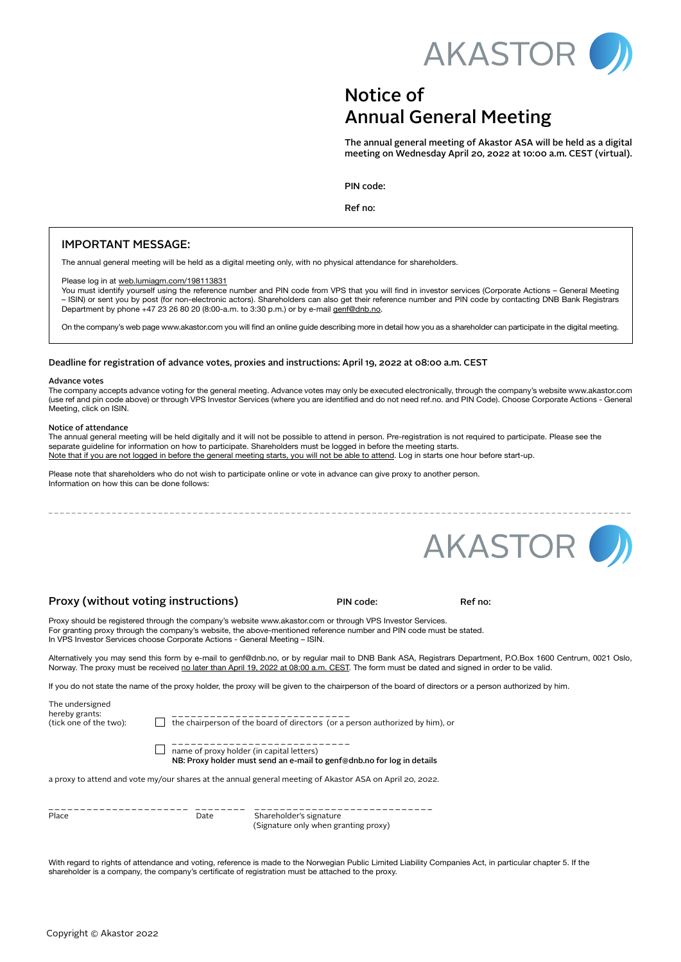

## Notice of Annual General Meeting

The annual general meeting of Akastor ASA will be held as a digital meeting on Wednesday April 20, 2022 at 10:00 a.m. CEST (virtual).

PIN code:

Ref no:

## IMPORTANT MESSAGE:

The annual general meeting will be held as a digital meeting only, with no physical attendance for shareholders.

## Please log in at [web.lumiagm.com/198113831](http://web.lumiagm.com/198113831)

You must identify yourself using the reference number and PIN code from VPS that you will find in investor services (Corporate Actions - General Meeting – ISIN) or sent you by post (for non-electronic actors). Shareholders can also get their reference number and PIN code by contacting DNB Bank Registrars Department by phone +47 23 26 80 20 (8:00-a.m. to 3:30 p.m.) or by e-mail [genf@dnb.no](mailto:genf%40dnb.no?subject=).

On the company's web page [www.akastor.com](http://www.akastor.com) you will find an online guide describing more in detail how you as a shareholder can participate in the digital meeting.

## Deadline for registration of advance votes, proxies and instructions: April 19, 2022 at 08:00 a.m. CEST

#### Advance votes

The company accepts advance voting for the general meeting. Advance votes may only be executed electronically, through the company's website [www.akastor.com](http://www.akastor.com )  (use ref and pin code above) or through VPS Investor Services (where you are identified and do not need ref.no. and PIN Code). Choose Corporate Actions - General Meeting, click on ISIN.

\_ \_ \_ \_ \_ \_ \_ \_ \_ \_ \_ \_ \_ \_ \_ \_ \_ \_ \_ \_ \_ \_ \_ \_ \_ \_ \_ \_ \_ \_ \_ \_ \_ \_ \_ \_ \_ \_ \_ \_ \_ \_ \_ \_ \_ \_ \_ \_ \_ \_ \_ \_ \_ \_ \_ \_ \_ \_ \_ \_ \_ \_ \_ \_ \_ \_ \_ \_ \_ \_ \_ \_ \_ \_ \_ \_ \_ \_ \_ \_ \_ \_ \_ \_ \_ \_ \_ \_ \_ \_ \_ \_ \_ \_ \_ \_ \_ \_ \_ \_ \_

#### Notice of attendance

The annual general meeting will be held digitally and it will not be possible to attend in person. Pre-registration is not required to participate. Please see the separate guideline for information on how to participate. Shareholders must be logged in before the meeting starts. Note that if you are not logged in before the general meeting starts, you will not be able to attend. Log in starts one hour before start-up.

Please note that shareholders who do not wish to participate online or vote in advance can give proxy to another person. Information on how this can be done follows:



## Proxy (without voting instructions) The Code: Ref no:

Proxy should be registered through the company's website www.akastor.com or through VPS Investor Services. For granting proxy through the company's website, the above-mentioned reference number and PIN code must be stated. In VPS Investor Services choose Corporate Actions - General Meeting – ISIN.

Alternatively you may send this form by e-mail to genf@dnb.no, or by regular mail to DNB Bank ASA, Registrars Department, P.O.Box 1600 Centrum, 0021 Oslo, Norway. The proxy must be received <u>no later than April 19, 2022 at 08:00 a.m. CEST</u>. The form must be dated and signed in order to be valid.

If you do not state the name of the proxy holder, the proxy will be given to the chairperson of the board of directors or a person authorized by him.

The undersigned hereby grants: \_ \_ \_ \_ \_ \_ \_ \_ \_ \_ \_ \_ \_ \_ \_ \_ \_ \_ \_ \_ \_ \_ \_ \_ \_ \_ \_ \_

(tick one of the two): the chairperson of the board of directors (or a person authorized by him), or

- \_ \_ \_ \_ \_ \_ \_ \_ \_ \_ \_ \_ \_ \_ \_ \_ \_ \_ \_ \_ \_ \_ \_ \_ \_ \_ \_ \_  $\Box$  name of proxy holder (in capital letters)
	- NB: Proxy holder must send an e-mail to [genf@dnb.no](mailto:genf%40dnb.no?subject=) for log in details

a proxy to attend and vote my/our shares at the annual general meeting of Akastor ASA on April 20, 2022.

| _______ |      |
|---------|------|
| Place   | Date |

 $P = P = P - P$ <br>Shareholder's signature (Signature only when granting proxy)

With regard to rights of attendance and voting, reference is made to the Norwegian Public Limited Liability Companies Act, in particular chapter 5. If the shareholder is a company, the company's certificate of registration must be attached to the proxy.